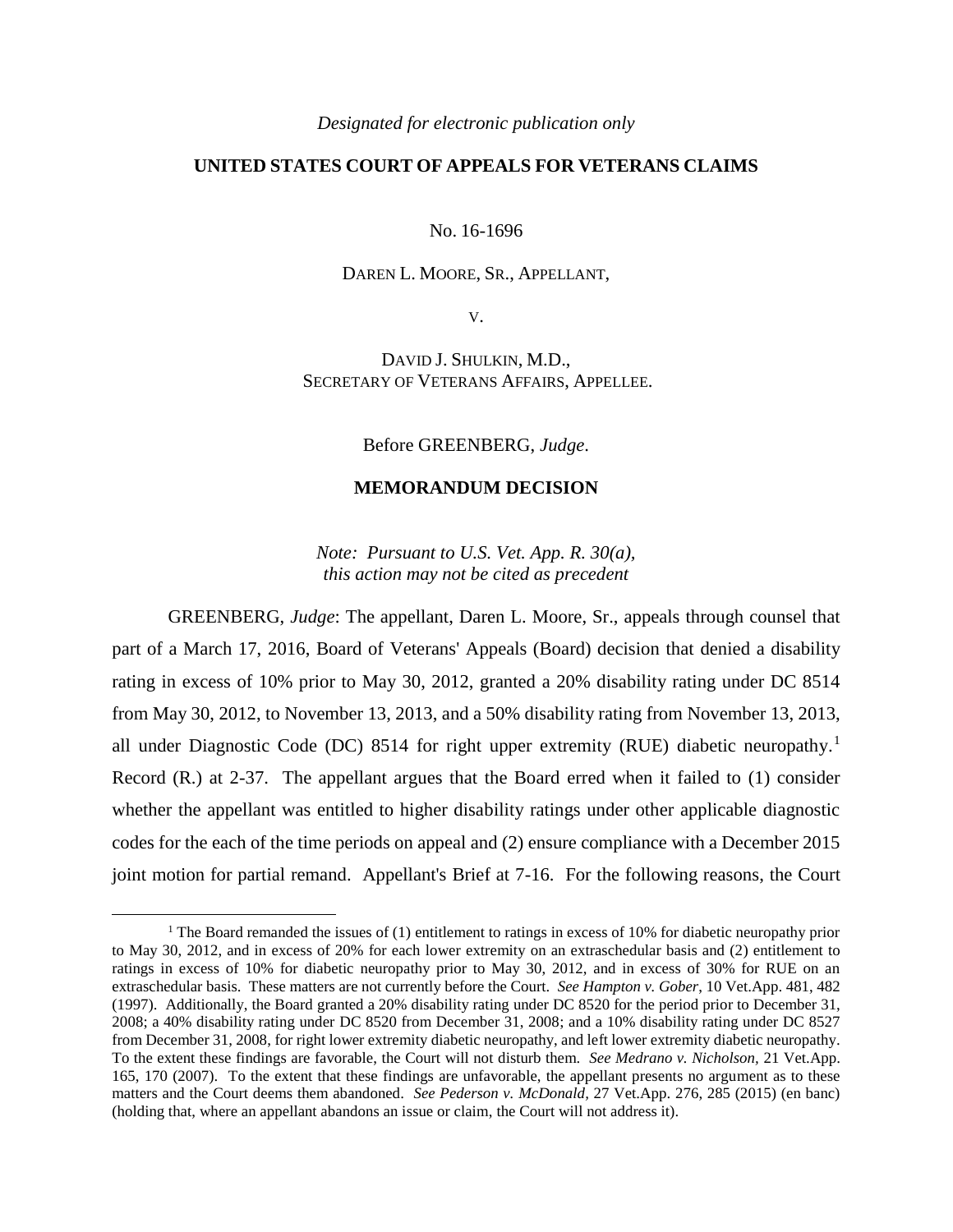## *Designated for electronic publication only*

## **UNITED STATES COURT OF APPEALS FOR VETERANS CLAIMS**

No. 16-1696

## DAREN L. MOORE, SR., APPELLANT,

V.

DAVID J. SHULKIN, M.D., SECRETARY OF VETERANS AFFAIRS, APPELLEE.

Before GREENBERG, *Judge*.

## **MEMORANDUM DECISION**

*Note: Pursuant to U.S. Vet. App. R. 30(a), this action may not be cited as precedent*

GREENBERG, *Judge*: The appellant, Daren L. Moore, Sr., appeals through counsel that part of a March 17, 2016, Board of Veterans' Appeals (Board) decision that denied a disability rating in excess of 10% prior to May 30, 2012, granted a 20% disability rating under DC 8514 from May 30, 2012, to November 13, 2013, and a 50% disability rating from November 13, 2013, all under Diagnostic Code (DC) 8514 for right upper extremity (RUE) diabetic neuropathy.<sup>1</sup> Record (R.) at 2-37. The appellant argues that the Board erred when it failed to (1) consider whether the appellant was entitled to higher disability ratings under other applicable diagnostic codes for the each of the time periods on appeal and (2) ensure compliance with a December 2015 joint motion for partial remand. Appellant's Brief at 7-16. For the following reasons, the Court

 $\overline{a}$ 

<sup>&</sup>lt;sup>1</sup> The Board remanded the issues of (1) entitlement to ratings in excess of 10% for diabetic neuropathy prior to May 30, 2012, and in excess of 20% for each lower extremity on an extraschedular basis and (2) entitlement to ratings in excess of 10% for diabetic neuropathy prior to May 30, 2012, and in excess of 30% for RUE on an extraschedular basis. These matters are not currently before the Court. *See Hampton v. Gober*, 10 Vet.App. 481, 482 (1997). Additionally, the Board granted a 20% disability rating under DC 8520 for the period prior to December 31, 2008; a 40% disability rating under DC 8520 from December 31, 2008; and a 10% disability rating under DC 8527 from December 31, 2008, for right lower extremity diabetic neuropathy, and left lower extremity diabetic neuropathy. To the extent these findings are favorable, the Court will not disturb them. *See Medrano v. Nicholson,* 21 Vet.App. 165, 170 (2007). To the extent that these findings are unfavorable, the appellant presents no argument as to these matters and the Court deems them abandoned. *See Pederson v. McDonald,* 27 Vet.App. 276, 285 (2015) (en banc) (holding that, where an appellant abandons an issue or claim, the Court will not address it).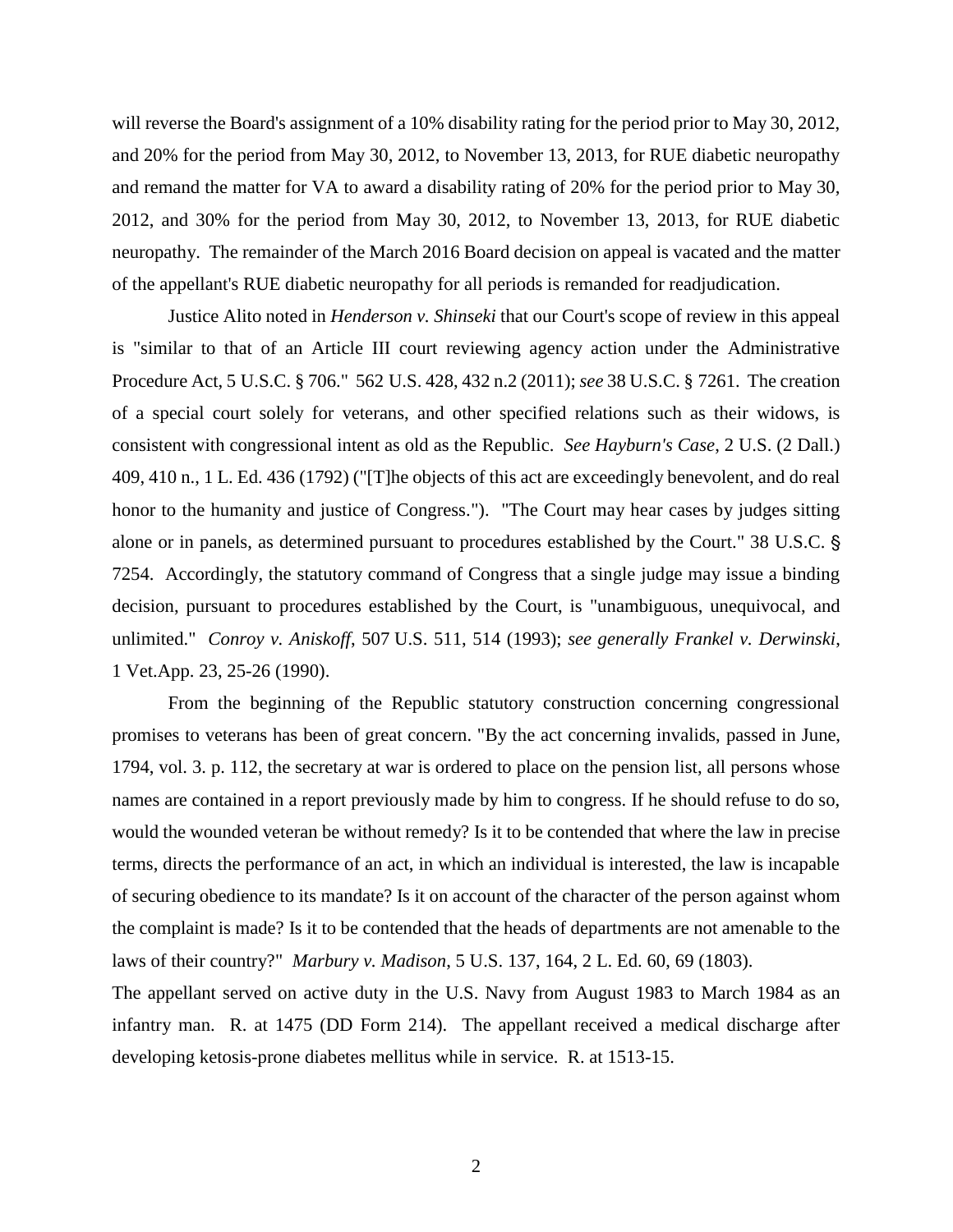will reverse the Board's assignment of a 10% disability rating for the period prior to May 30, 2012, and 20% for the period from May 30, 2012, to November 13, 2013, for RUE diabetic neuropathy and remand the matter for VA to award a disability rating of 20% for the period prior to May 30, 2012, and 30% for the period from May 30, 2012, to November 13, 2013, for RUE diabetic neuropathy. The remainder of the March 2016 Board decision on appeal is vacated and the matter of the appellant's RUE diabetic neuropathy for all periods is remanded for readjudication.

Justice Alito noted in *Henderson v. Shinseki* that our Court's scope of review in this appeal is "similar to that of an Article III court reviewing agency action under the Administrative Procedure Act, 5 U.S.C. § 706." 562 U.S. 428, 432 n.2 (2011); *see* 38 U.S.C. § 7261. The creation of a special court solely for veterans, and other specified relations such as their widows, is consistent with congressional intent as old as the Republic. *See Hayburn's Case*, 2 U.S. (2 Dall.) 409, 410 n., 1 L. Ed. 436 (1792) ("[T]he objects of this act are exceedingly benevolent, and do real honor to the humanity and justice of Congress."). "The Court may hear cases by judges sitting alone or in panels, as determined pursuant to procedures established by the Court." 38 U.S.C. ' 7254. Accordingly, the statutory command of Congress that a single judge may issue a binding decision, pursuant to procedures established by the Court, is "unambiguous, unequivocal, and unlimited." *Conroy v. Aniskoff*, 507 U.S. 511, 514 (1993); *see generally Frankel v. Derwinski*, 1 Vet.App. 23, 25-26 (1990).

From the beginning of the Republic statutory construction concerning congressional promises to veterans has been of great concern. "By the act concerning invalids, passed in June, 1794, vol. 3. p. 112, the secretary at war is ordered to place on the pension list, all persons whose names are contained in a report previously made by him to congress. If he should refuse to do so, would the wounded veteran be without remedy? Is it to be contended that where the law in precise terms, directs the performance of an act, in which an individual is interested, the law is incapable of securing obedience to its mandate? Is it on account of the character of the person against whom the complaint is made? Is it to be contended that the heads of departments are not amenable to the laws of their country?" *Marbury v. Madison*, 5 U.S. 137, 164, 2 L. Ed. 60, 69 (1803).

The appellant served on active duty in the U.S. Navy from August 1983 to March 1984 as an infantry man. R. at 1475 (DD Form 214). The appellant received a medical discharge after developing ketosis-prone diabetes mellitus while in service. R. at 1513-15.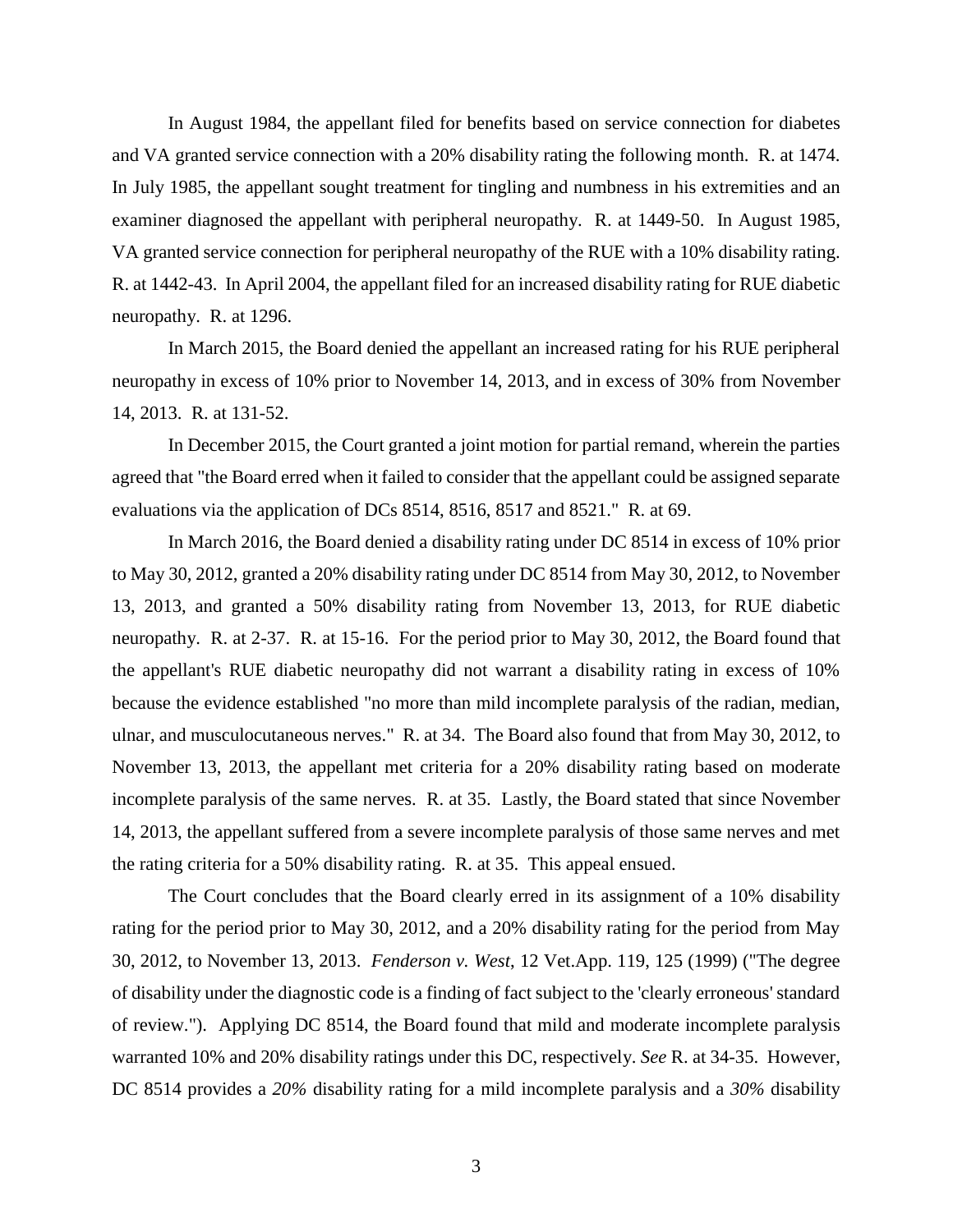In August 1984, the appellant filed for benefits based on service connection for diabetes and VA granted service connection with a 20% disability rating the following month. R. at 1474. In July 1985, the appellant sought treatment for tingling and numbness in his extremities and an examiner diagnosed the appellant with peripheral neuropathy. R. at 1449-50. In August 1985, VA granted service connection for peripheral neuropathy of the RUE with a 10% disability rating. R. at 1442-43. In April 2004, the appellant filed for an increased disability rating for RUE diabetic neuropathy. R. at 1296.

In March 2015, the Board denied the appellant an increased rating for his RUE peripheral neuropathy in excess of 10% prior to November 14, 2013, and in excess of 30% from November 14, 2013. R. at 131-52.

In December 2015, the Court granted a joint motion for partial remand, wherein the parties agreed that "the Board erred when it failed to consider that the appellant could be assigned separate evaluations via the application of DCs 8514, 8516, 8517 and 8521." R. at 69.

In March 2016, the Board denied a disability rating under DC 8514 in excess of 10% prior to May 30, 2012, granted a 20% disability rating under DC 8514 from May 30, 2012, to November 13, 2013, and granted a 50% disability rating from November 13, 2013, for RUE diabetic neuropathy. R. at 2-37. R. at 15-16. For the period prior to May 30, 2012, the Board found that the appellant's RUE diabetic neuropathy did not warrant a disability rating in excess of 10% because the evidence established "no more than mild incomplete paralysis of the radian, median, ulnar, and musculocutaneous nerves." R. at 34. The Board also found that from May 30, 2012, to November 13, 2013, the appellant met criteria for a 20% disability rating based on moderate incomplete paralysis of the same nerves. R. at 35. Lastly, the Board stated that since November 14, 2013, the appellant suffered from a severe incomplete paralysis of those same nerves and met the rating criteria for a 50% disability rating. R. at 35. This appeal ensued.

The Court concludes that the Board clearly erred in its assignment of a 10% disability rating for the period prior to May 30, 2012, and a 20% disability rating for the period from May 30, 2012, to November 13, 2013. *Fenderson v. West*, 12 Vet.App. 119, 125 (1999) ("The degree of disability under the diagnostic code is a finding of fact subject to the 'clearly erroneous' standard of review."). Applying DC 8514, the Board found that mild and moderate incomplete paralysis warranted 10% and 20% disability ratings under this DC, respectively. *See* R. at 34-35. However, DC 8514 provides a *20%* disability rating for a mild incomplete paralysis and a *30%* disability